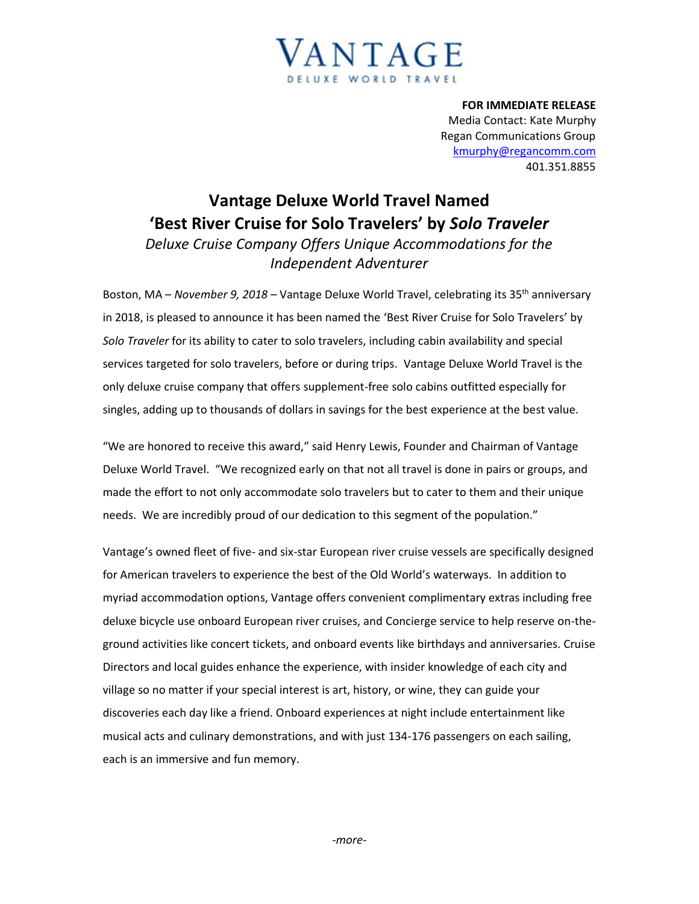## *V*ANTAGE DELUXE WORLD TRAVEL

**FOR IMMEDIATE RELEASE** Media Contact: Kate Murphy Regan Communications Group [kmurphy@regancomm.com](mailto:kmurphy@regancomm.com) 401.351.8855

## **Vantage Deluxe World Travel Named 'Best River Cruise for Solo Travelers' by** *Solo Traveler Deluxe Cruise Company Offers Unique Accommodations for the Independent Adventurer*

Boston, MA – *November 9, 2018* – Vantage Deluxe World Travel, celebrating its 35<sup>th</sup> anniversary in 2018, is pleased to announce it has been named the 'Best River Cruise for Solo Travelers' by *Solo Traveler* for its ability to cater to solo travelers, including cabin availability and special services targeted for solo travelers, before or during trips. Vantage Deluxe World Travel is the only deluxe cruise company that offers supplement-free solo cabins outfitted especially for singles, adding up to thousands of dollars in savings for the best experience at the best value.

"We are honored to receive this award," said Henry Lewis, Founder and Chairman of Vantage Deluxe World Travel. "We recognized early on that not all travel is done in pairs or groups, and made the effort to not only accommodate solo travelers but to cater to them and their unique needs. We are incredibly proud of our dedication to this segment of the population."

Vantage's owned fleet of five- and six-star European river cruise vessels are specifically designed for American travelers to experience the best of the Old World's waterways. In addition to myriad accommodation options, Vantage offers convenient complimentary extras including free deluxe bicycle use onboard European river cruises, and Concierge service to help reserve on-theground activities like concert tickets, and onboard events like birthdays and anniversaries. Cruise Directors and local guides enhance the experience, with insider knowledge of each city and village so no matter if your special interest is art, history, or wine, they can guide your discoveries each day like a friend. Onboard experiences at night include entertainment like musical acts and culinary demonstrations, and with just 134-176 passengers on each sailing, each is an immersive and fun memory.